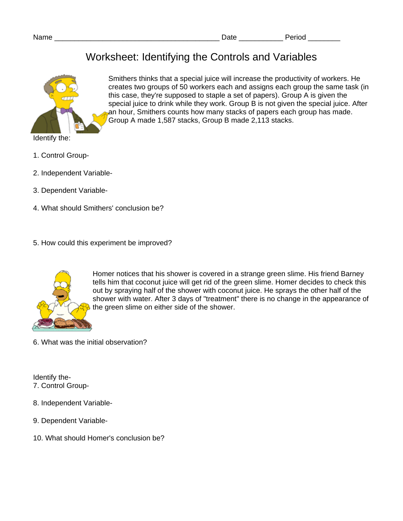## Worksheet: Identifying the Controls and Variables



Smithers thinks that a special juice will increase the productivity of workers. He creates two groups of 50 workers each and assigns each group the same task (in this case, they're supposed to staple a set of papers). Group A is given the special juice to drink while they work. Group B is not given the special juice. After an hour, Smithers counts how many stacks of papers each group has made. Group A made 1,587 stacks, Group B made 2,113 stacks.

- 1. Control Group-
- 2. Independent Variable-
- 3. Dependent Variable-
- 4. What should Smithers' conclusion be?
- 5. How could this experiment be improved?



Homer notices that his shower is covered in a strange green slime. His friend Barney tells him that coconut juice will get rid of the green slime. Homer decides to check this out by spraying half of the shower with coconut juice. He sprays the other half of the shower with water. After 3 days of "treatment" there is no change in the appearance of the green slime on either side of the shower.

6. What was the initial observation?

Identify the-7. Control Group-

- 8. Independent Variable-
- 9. Dependent Variable-
- 10. What should Homer's conclusion be?